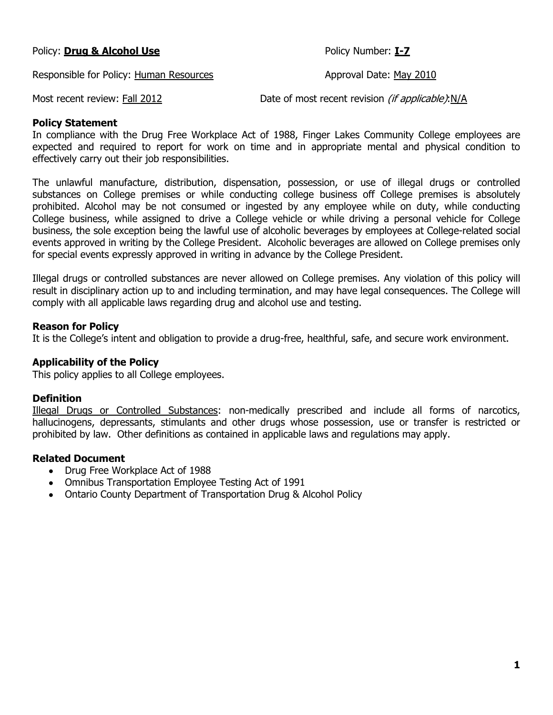Policy: **Drug & Alcohol Use** Policy Number: **I-7**

Responsible for Policy: Human Resources Approval Date: May 2010

Most recent review: Fall 2012 Date of most recent revision (if applicable):N/A

#### **Policy Statement**

In compliance with the Drug Free Workplace Act of 1988, Finger Lakes Community College employees are expected and required to report for work on time and in appropriate mental and physical condition to effectively carry out their job responsibilities.

The unlawful manufacture, distribution, dispensation, possession, or use of illegal drugs or controlled substances on College premises or while conducting college business off College premises is absolutely prohibited. Alcohol may be not consumed or ingested by any employee while on duty, while conducting College business, while assigned to drive a College vehicle or while driving a personal vehicle for College business, the sole exception being the lawful use of alcoholic beverages by employees at College-related social events approved in writing by the College President. Alcoholic beverages are allowed on College premises only for special events expressly approved in writing in advance by the College President.

Illegal drugs or controlled substances are never allowed on College premises. Any violation of this policy will result in disciplinary action up to and including termination, and may have legal consequences. The College will comply with all applicable laws regarding drug and alcohol use and testing.

#### **Reason for Policy**

It is the College's intent and obligation to provide a drug-free, healthful, safe, and secure work environment.

# **Applicability of the Policy**

This policy applies to all College employees.

#### **Definition**

Illegal Drugs or Controlled Substances: non-medically prescribed and include all forms of narcotics, hallucinogens, depressants, stimulants and other drugs whose possession, use or transfer is restricted or prohibited by law. Other definitions as contained in applicable laws and regulations may apply.

#### **Related Document**

- Drug Free Workplace Act of 1988
- Omnibus Transportation Employee Testing Act of 1991
- Ontario County Department of Transportation Drug & Alcohol Policy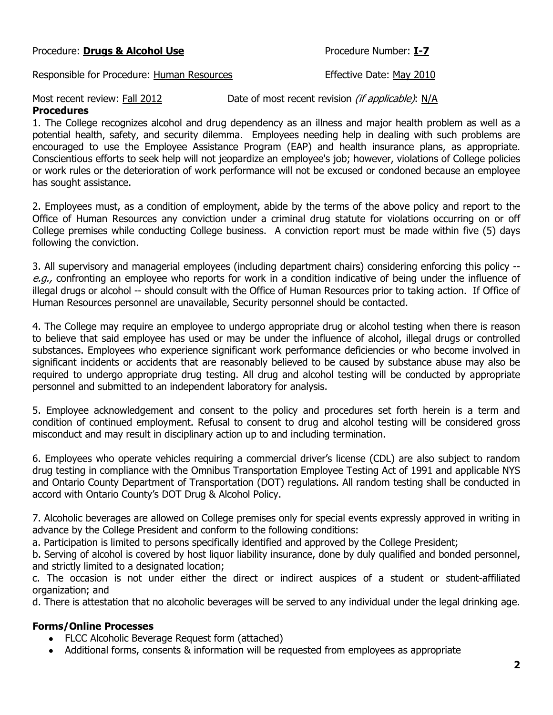# Procedure: **Drugs & Alcohol Use** Procedure Number: **I-7**

Responsible for Procedure: Human Resources The Resources Effective Date: May 2010

Most recent review: Fall 2012 Date of most recent revision (if applicable): N/A

**Procedures**

1. The College recognizes alcohol and drug dependency as an illness and major health problem as well as a potential health, safety, and security dilemma. Employees needing help in dealing with such problems are encouraged to use the Employee Assistance Program (EAP) and health insurance plans, as appropriate. Conscientious efforts to seek help will not jeopardize an employee's job; however, violations of College policies or work rules or the deterioration of work performance will not be excused or condoned because an employee has sought assistance.

2. Employees must, as a condition of employment, abide by the terms of the above policy and report to the Office of Human Resources any conviction under a criminal drug statute for violations occurring on or off College premises while conducting College business. A conviction report must be made within five (5) days following the conviction.

3. All supervisory and managerial employees (including department chairs) considering enforcing this policy - e.g., confronting an employee who reports for work in a condition indicative of being under the influence of illegal drugs or alcohol -- should consult with the Office of Human Resources prior to taking action. If Office of Human Resources personnel are unavailable, Security personnel should be contacted.

4. The College may require an employee to undergo appropriate drug or alcohol testing when there is reason to believe that said employee has used or may be under the influence of alcohol, illegal drugs or controlled substances. Employees who experience significant work performance deficiencies or who become involved in significant incidents or accidents that are reasonably believed to be caused by substance abuse may also be required to undergo appropriate drug testing. All drug and alcohol testing will be conducted by appropriate personnel and submitted to an independent laboratory for analysis.

5. Employee acknowledgement and consent to the policy and procedures set forth herein is a term and condition of continued employment. Refusal to consent to drug and alcohol testing will be considered gross misconduct and may result in disciplinary action up to and including termination.

6. Employees who operate vehicles requiring a commercial driver's license (CDL) are also subject to random drug testing in compliance with the Omnibus Transportation Employee Testing Act of 1991 and applicable NYS and Ontario County Department of Transportation (DOT) regulations. All random testing shall be conducted in accord with Ontario County's DOT Drug & Alcohol Policy.

7. Alcoholic beverages are allowed on College premises only for special events expressly approved in writing in advance by the College President and conform to the following conditions:

a. Participation is limited to persons specifically identified and approved by the College President;

b. Serving of alcohol is covered by host liquor liability insurance, done by duly qualified and bonded personnel, and strictly limited to a designated location;

c. The occasion is not under either the direct or indirect auspices of a student or student-affiliated organization; and

d. There is attestation that no alcoholic beverages will be served to any individual under the legal drinking age.

#### **Forms/Online Processes**

- FLCC Alcoholic Beverage Request form (attached)
- Additional forms, consents & information will be requested from employees as appropriate